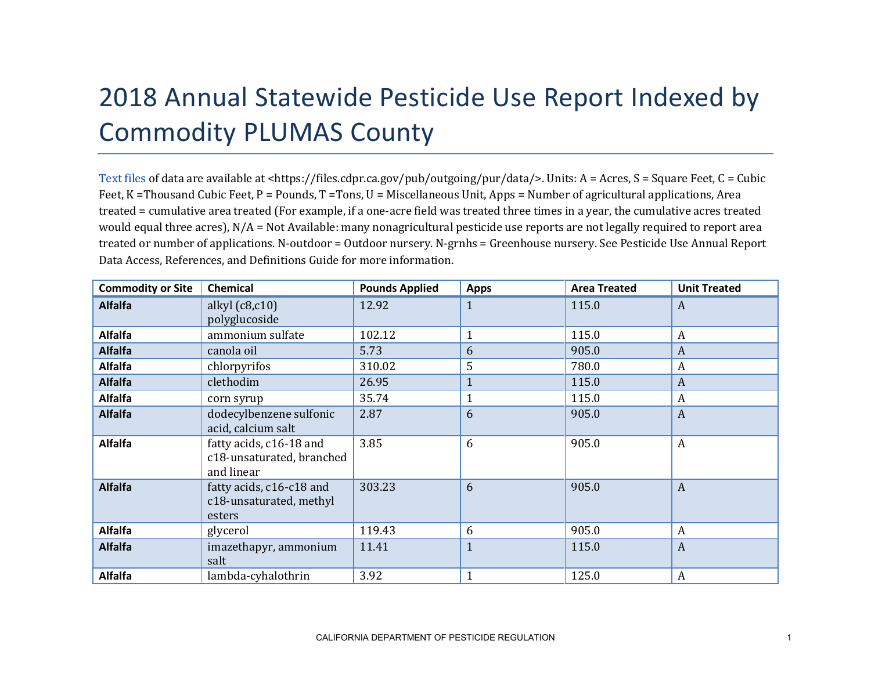## 2018 Annual Statewide Pesticide Use Report Indexed by Commodity PLUMAS County

[Text files](https://files.cdpr.ca.gov/pub/outgoing/pur/data/) of data are available at <https://files.cdpr.ca.gov/pub/outgoing/pur/data/>. Units: A = Acres, S = Square Feet, C = Cubic Feet, K = Thousand Cubic Feet, P = Pounds, T = Tons, U = Miscellaneous Unit, Apps = Number of agricultural applications, Area treated = cumulative area treated (For example, if a one-acre field was treated three times in a year, the cumulative acres treated would equal three acres), N/A = Not Available: many nonagricultural pesticide use reports are not legally required to report area treated or number of applications. N-outdoor = Outdoor nursery. N-grnhs = Greenhouse nursery. See Pesticide Use Annual Report Data Access, References, and Definitions Guide for more information.

| <b>Commodity or Site</b> | <b>Chemical</b>                                                    | <b>Pounds Applied</b> | <b>Apps</b>  | <b>Area Treated</b> | <b>Unit Treated</b> |
|--------------------------|--------------------------------------------------------------------|-----------------------|--------------|---------------------|---------------------|
| <b>Alfalfa</b>           | alkyl $(c8, c10)$<br>polyglucoside                                 | 12.92                 | $\mathbf{1}$ | 115.0               | A                   |
| <b>Alfalfa</b>           | ammonium sulfate                                                   | 102.12                |              | 115.0               | A                   |
| <b>Alfalfa</b>           | canola oil                                                         | 5.73                  | 6            | 905.0               | A                   |
| <b>Alfalfa</b>           | chlorpyrifos                                                       | 310.02                | 5            | 780.0               | A                   |
| <b>Alfalfa</b>           | clethodim                                                          | 26.95                 |              | 115.0               | $\boldsymbol{A}$    |
| <b>Alfalfa</b>           | corn syrup                                                         | 35.74                 |              | 115.0               | A                   |
| <b>Alfalfa</b>           | dodecylbenzene sulfonic<br>acid, calcium salt                      | 2.87                  | 6            | 905.0               | $\boldsymbol{A}$    |
| <b>Alfalfa</b>           | fatty acids, c16-18 and<br>c18-unsaturated, branched<br>and linear | 3.85                  | 6            | 905.0               | $\boldsymbol{A}$    |
| <b>Alfalfa</b>           | fatty acids, c16-c18 and<br>c18-unsaturated, methyl<br>esters      | 303.23                | 6            | 905.0               | $\boldsymbol{A}$    |
| <b>Alfalfa</b>           | glycerol                                                           | 119.43                | 6            | 905.0               | A                   |
| <b>Alfalfa</b>           | imazethapyr, ammonium<br>salt                                      | 11.41                 | $\mathbf{1}$ | 115.0               | $\boldsymbol{A}$    |
| <b>Alfalfa</b>           | lambda-cyhalothrin                                                 | 3.92                  |              | 125.0               | A                   |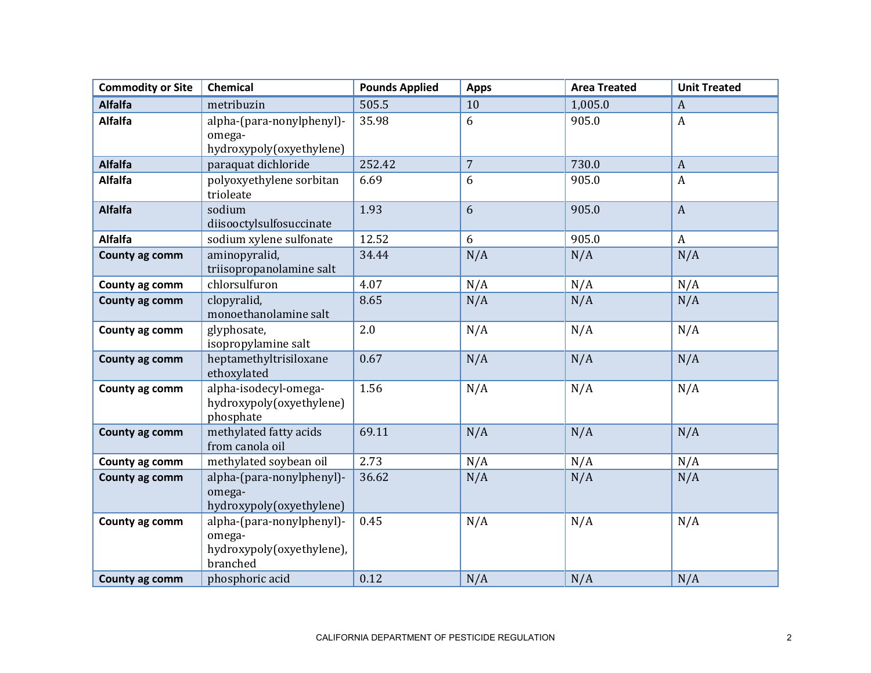| <b>Commodity or Site</b> | <b>Chemical</b>                                                                                 | <b>Pounds Applied</b> | <b>Apps</b>    | <b>Area Treated</b> | <b>Unit Treated</b> |
|--------------------------|-------------------------------------------------------------------------------------------------|-----------------------|----------------|---------------------|---------------------|
| <b>Alfalfa</b>           | metribuzin                                                                                      | 505.5                 | 10             | 1,005.0             | $\boldsymbol{A}$    |
| <b>Alfalfa</b>           | alpha-(para-nonylphenyl)-<br>omega-<br>hydroxypoly(oxyethylene)                                 | 35.98                 | 6              | 905.0               | $\boldsymbol{A}$    |
| <b>Alfalfa</b>           | paraquat dichloride                                                                             | 252.42                | $\overline{7}$ | 730.0               | $\boldsymbol{A}$    |
| <b>Alfalfa</b>           | polyoxyethylene sorbitan<br>trioleate                                                           | 6.69                  | 6              | 905.0               | A                   |
| <b>Alfalfa</b>           | sodium<br>diisooctylsulfosuccinate                                                              | 1.93                  | 6              | 905.0               | $\mathbf{A}$        |
| <b>Alfalfa</b>           | sodium xylene sulfonate                                                                         | 12.52                 | 6              | 905.0               | $\boldsymbol{A}$    |
| County ag comm           | aminopyralid,<br>triisopropanolamine salt                                                       | 34.44                 | N/A            | N/A                 | N/A                 |
| County ag comm           | chlorsulfuron                                                                                   | 4.07                  | N/A            | N/A                 | N/A                 |
| County ag comm           | clopyralid,<br>monoethanolamine salt                                                            | 8.65                  | N/A            | N/A                 | N/A                 |
| County ag comm           | glyphosate,<br>isopropylamine salt                                                              | 2.0                   | N/A            | N/A                 | N/A                 |
| County ag comm           | heptamethyltrisiloxane<br>ethoxylated                                                           | 0.67                  | N/A            | N/A                 | N/A                 |
| County ag comm           | alpha-isodecyl-omega-<br>hydroxypoly(oxyethylene)<br>phosphate                                  | 1.56                  | N/A            | N/A                 | N/A                 |
| County ag comm           | methylated fatty acids<br>from canola oil                                                       | 69.11                 | N/A            | N/A                 | N/A                 |
| County ag comm           | methylated soybean oil                                                                          | 2.73                  | N/A            | N/A                 | N/A                 |
| County ag comm           | alpha-(para-nonylphenyl)-<br>omega-<br>hydroxypoly(oxyethylene)                                 | 36.62                 | N/A            | N/A                 | N/A                 |
| County ag comm           | alpha-(para-nonylphenyl)-<br>omega-<br>hydroxypoly(oxyethylene),<br>branched<br>phosphoric acid | 0.45<br>0.12          | N/A<br>N/A     | N/A<br>N/A          | N/A<br>N/A          |
| County ag comm           |                                                                                                 |                       |                |                     |                     |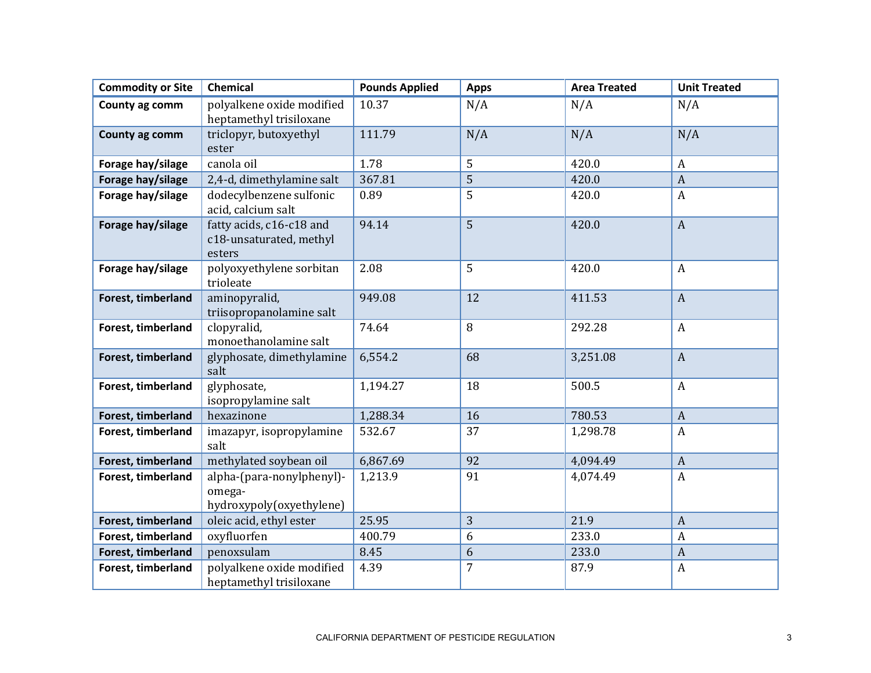| <b>Commodity or Site</b> | Chemical                                                        | <b>Pounds Applied</b> | <b>Apps</b> | <b>Area Treated</b> | <b>Unit Treated</b> |
|--------------------------|-----------------------------------------------------------------|-----------------------|-------------|---------------------|---------------------|
| County ag comm           | polyalkene oxide modified<br>heptamethyl trisiloxane            | 10.37                 | N/A         | N/A                 | N/A                 |
| County ag comm           | triclopyr, butoxyethyl<br>ester                                 | 111.79                | N/A         | N/A                 | N/A                 |
| Forage hay/silage        | canola oil                                                      | 1.78                  | 5           | 420.0               | A                   |
| Forage hay/silage        | 2,4-d, dimethylamine salt                                       | 367.81                | 5           | 420.0               | $\boldsymbol{A}$    |
| Forage hay/silage        | dodecylbenzene sulfonic<br>acid, calcium salt                   | 0.89                  | 5           | 420.0               | $\boldsymbol{A}$    |
| Forage hay/silage        | fatty acids, c16-c18 and<br>c18-unsaturated, methyl<br>esters   | 94.14                 | 5           | 420.0               | $\boldsymbol{A}$    |
| Forage hay/silage        | polyoxyethylene sorbitan<br>trioleate                           | 2.08                  | 5           | 420.0               | $\boldsymbol{A}$    |
| Forest, timberland       | aminopyralid,<br>triisopropanolamine salt                       | 949.08                | 12          | 411.53              | $\mathbf{A}$        |
| Forest, timberland       | clopyralid,<br>monoethanolamine salt                            | 74.64                 | 8           | 292.28              | $\boldsymbol{A}$    |
| Forest, timberland       | glyphosate, dimethylamine<br>salt                               | 6,554.2               | 68          | 3,251.08            | $\boldsymbol{A}$    |
| Forest, timberland       | glyphosate,<br>isopropylamine salt                              | 1,194.27              | 18          | 500.5               | $\boldsymbol{A}$    |
| Forest, timberland       | hexazinone                                                      | 1,288.34              | 16          | 780.53              | $\boldsymbol{A}$    |
| Forest, timberland       | imazapyr, isopropylamine<br>salt                                | 532.67                | 37          | 1,298.78            | $\boldsymbol{A}$    |
| Forest, timberland       | methylated soybean oil                                          | 6,867.69              | 92          | 4,094.49            | $\boldsymbol{A}$    |
| Forest, timberland       | alpha-(para-nonylphenyl)-<br>omega-<br>hydroxypoly(oxyethylene) | 1,213.9               | 91          | 4,074.49            | $\boldsymbol{A}$    |
| Forest, timberland       | oleic acid, ethyl ester                                         | 25.95                 | 3           | 21.9                | $\boldsymbol{A}$    |
| Forest, timberland       | oxyfluorfen                                                     | 400.79                | 6           | 233.0               | $\boldsymbol{A}$    |
| Forest, timberland       | penoxsulam                                                      | 8.45                  | 6           | 233.0               | $\boldsymbol{A}$    |
| Forest, timberland       | polyalkene oxide modified<br>heptamethyl trisiloxane            | 4.39                  | 7           | 87.9                | $\boldsymbol{A}$    |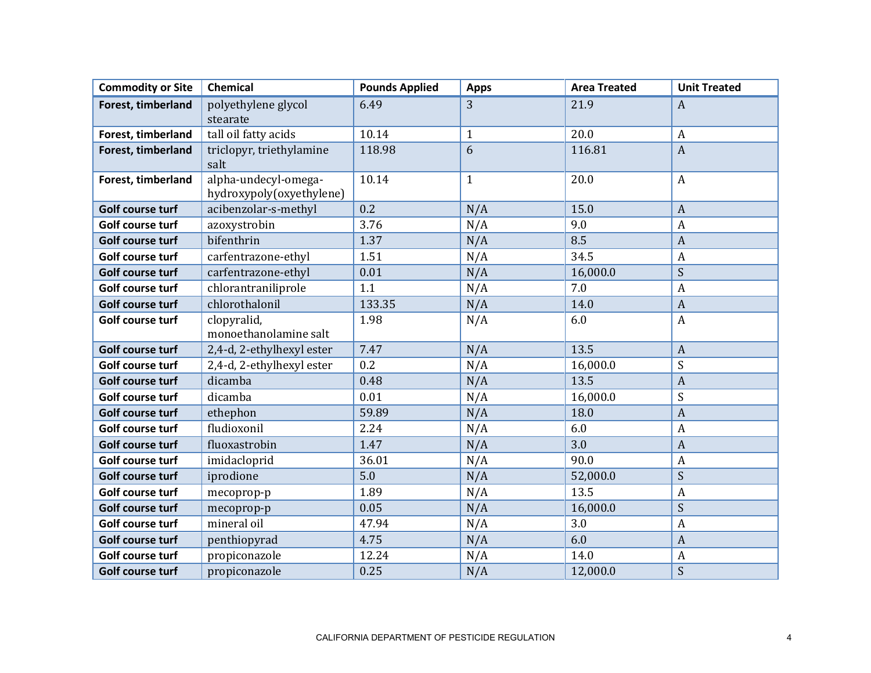| <b>Commodity or Site</b> | <b>Chemical</b>                                  | <b>Pounds Applied</b> | <b>Apps</b>  | <b>Area Treated</b> | <b>Unit Treated</b> |
|--------------------------|--------------------------------------------------|-----------------------|--------------|---------------------|---------------------|
| Forest, timberland       | polyethylene glycol                              | 6.49                  | 3            | 21.9                | $\mathbf{A}$        |
|                          | stearate                                         |                       |              |                     |                     |
| Forest, timberland       | tall oil fatty acids                             | 10.14                 | $\mathbf{1}$ | 20.0                | $\boldsymbol{A}$    |
| Forest, timberland       | triclopyr, triethylamine                         | 118.98                | 6            | 116.81              | $\overline{A}$      |
|                          | salt                                             |                       |              |                     |                     |
| Forest, timberland       | alpha-undecyl-omega-<br>hydroxypoly(oxyethylene) | 10.14                 | $\mathbf{1}$ | 20.0                | $\boldsymbol{A}$    |
| Golf course turf         | acibenzolar-s-methyl                             | 0.2                   | N/A          | 15.0                | $\boldsymbol{A}$    |
| Golf course turf         | azoxystrobin                                     | 3.76                  | N/A          | 9.0                 | $\boldsymbol{A}$    |
| Golf course turf         | bifenthrin                                       | 1.37                  | N/A          | 8.5                 | $\boldsymbol{A}$    |
| Golf course turf         | carfentrazone-ethyl                              | 1.51                  | N/A          | 34.5                | $\boldsymbol{A}$    |
| Golf course turf         | carfentrazone-ethyl                              | 0.01                  | N/A          | 16,000.0            | S                   |
| Golf course turf         | chlorantraniliprole                              | 1.1                   | N/A          | 7.0                 | $\boldsymbol{A}$    |
| Golf course turf         | chlorothalonil                                   | 133.35                | N/A          | 14.0                | $\overline{A}$      |
| Golf course turf         | clopyralid,                                      | 1.98                  | N/A          | 6.0                 | $\boldsymbol{A}$    |
|                          | monoethanolamine salt                            |                       |              |                     |                     |
| Golf course turf         | 2,4-d, 2-ethylhexyl ester                        | 7.47                  | N/A          | 13.5                | $\boldsymbol{A}$    |
| Golf course turf         | 2,4-d, 2-ethylhexyl ester                        | 0.2                   | N/A          | 16,000.0            | S                   |
| Golf course turf         | dicamba                                          | 0.48                  | N/A          | 13.5                | $\overline{A}$      |
| Golf course turf         | dicamba                                          | 0.01                  | N/A          | 16,000.0            | S                   |
| Golf course turf         | ethephon                                         | 59.89                 | N/A          | 18.0                | $\overline{A}$      |
| Golf course turf         | fludioxonil                                      | 2.24                  | N/A          | 6.0                 | $\boldsymbol{A}$    |
| Golf course turf         | fluoxastrobin                                    | 1.47                  | N/A          | 3.0                 | $\overline{A}$      |
| Golf course turf         | imidacloprid                                     | 36.01                 | N/A          | 90.0                | $\boldsymbol{A}$    |
| Golf course turf         | iprodione                                        | 5.0                   | N/A          | 52,000.0            | ${\mathsf S}$       |
| Golf course turf         | mecoprop-p                                       | 1.89                  | N/A          | 13.5                | $\boldsymbol{A}$    |
| Golf course turf         | mecoprop-p                                       | 0.05                  | N/A          | 16,000.0            | S                   |
| Golf course turf         | mineral oil                                      | 47.94                 | N/A          | 3.0                 | $\overline{A}$      |
| Golf course turf         | penthiopyrad                                     | 4.75                  | N/A          | 6.0                 | $\overline{A}$      |
| Golf course turf         | propiconazole                                    | 12.24                 | N/A          | 14.0                | $\boldsymbol{A}$    |
| Golf course turf         | propiconazole                                    | 0.25                  | N/A          | 12,000.0            | S                   |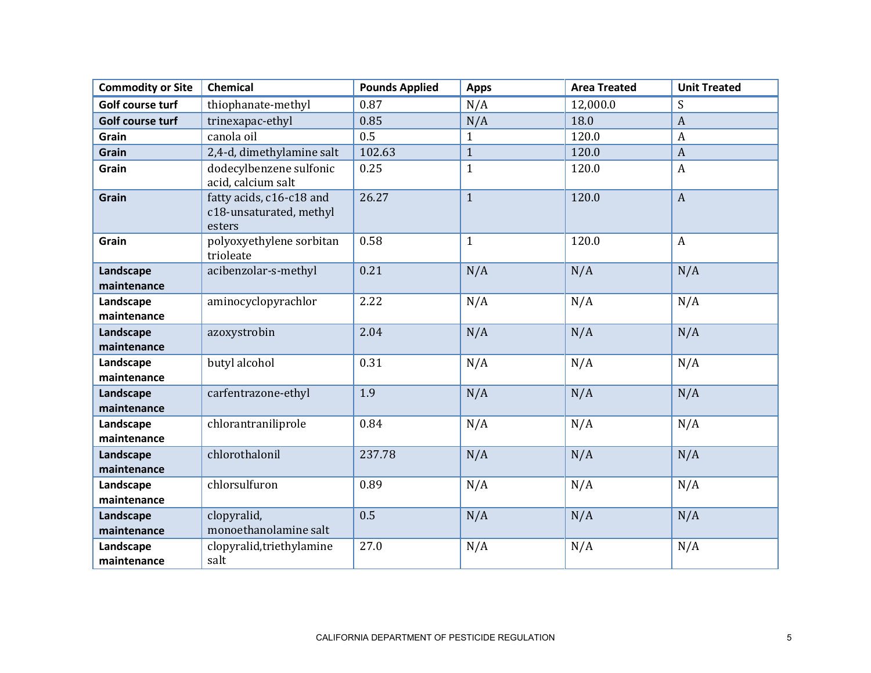| <b>Commodity or Site</b> | <b>Chemical</b>                                               | <b>Pounds Applied</b> | <b>Apps</b>  | <b>Area Treated</b> | <b>Unit Treated</b> |
|--------------------------|---------------------------------------------------------------|-----------------------|--------------|---------------------|---------------------|
| Golf course turf         | thiophanate-methyl                                            | 0.87                  | N/A          | 12,000.0            | S                   |
| Golf course turf         | trinexapac-ethyl                                              | 0.85                  | N/A          | 18.0                | $\boldsymbol{A}$    |
| Grain                    | canola oil                                                    | 0.5                   | $\mathbf{1}$ | 120.0               | $\boldsymbol{A}$    |
| Grain                    | 2,4-d, dimethylamine salt                                     | 102.63                | $\mathbf{1}$ | 120.0               | $\boldsymbol{A}$    |
| Grain                    | dodecylbenzene sulfonic<br>acid, calcium salt                 | 0.25                  | $\mathbf{1}$ | 120.0               | $\overline{A}$      |
| <b>Grain</b>             | fatty acids, c16-c18 and<br>c18-unsaturated, methyl<br>esters | 26.27                 | $\mathbf{1}$ | 120.0               | $\mathbf{A}$        |
| Grain                    | polyoxyethylene sorbitan<br>trioleate                         | 0.58                  | $\mathbf{1}$ | 120.0               | $\boldsymbol{A}$    |
| Landscape<br>maintenance | acibenzolar-s-methyl                                          | 0.21                  | N/A          | N/A                 | N/A                 |
| Landscape<br>maintenance | aminocyclopyrachlor                                           | 2.22                  | N/A          | N/A                 | N/A                 |
| Landscape<br>maintenance | azoxystrobin                                                  | 2.04                  | N/A          | N/A                 | N/A                 |
| Landscape<br>maintenance | butyl alcohol                                                 | 0.31                  | N/A          | N/A                 | N/A                 |
| Landscape<br>maintenance | carfentrazone-ethyl                                           | 1.9                   | N/A          | N/A                 | N/A                 |
| Landscape<br>maintenance | chlorantraniliprole                                           | 0.84                  | N/A          | N/A                 | N/A                 |
| Landscape<br>maintenance | chlorothalonil                                                | 237.78                | N/A          | N/A                 | N/A                 |
| Landscape<br>maintenance | chlorsulfuron                                                 | 0.89                  | N/A          | N/A                 | N/A                 |
| Landscape<br>maintenance | clopyralid,<br>monoethanolamine salt                          | 0.5                   | N/A          | N/A                 | N/A                 |
| Landscape<br>maintenance | clopyralid, triethylamine<br>salt                             | 27.0                  | N/A          | N/A                 | N/A                 |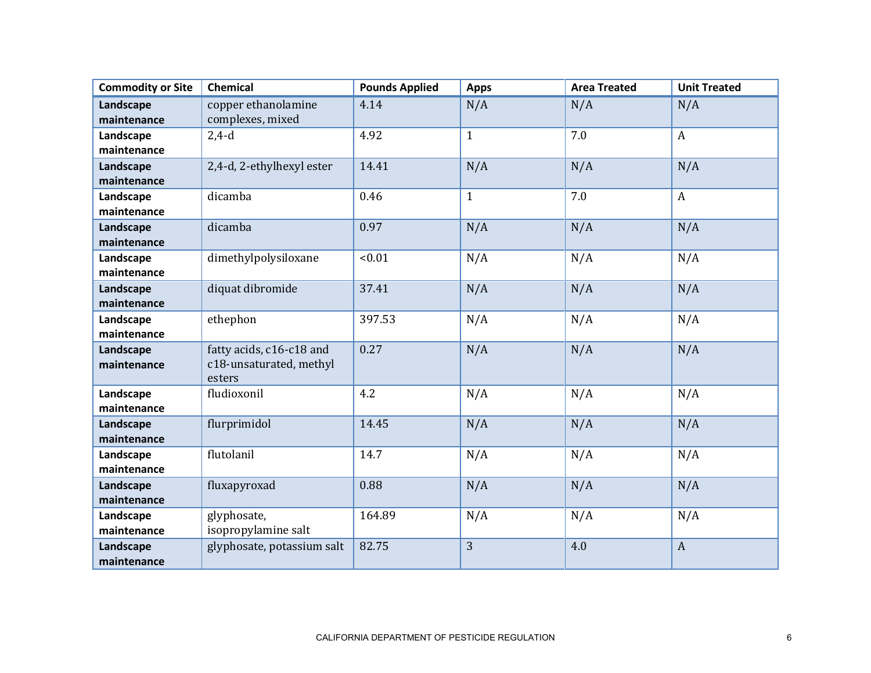| <b>Commodity or Site</b> | <b>Chemical</b>            | <b>Pounds Applied</b> | <b>Apps</b>  | <b>Area Treated</b> | <b>Unit Treated</b> |
|--------------------------|----------------------------|-----------------------|--------------|---------------------|---------------------|
| Landscape                | copper ethanolamine        | 4.14                  | N/A          | N/A                 | N/A                 |
| maintenance              | complexes, mixed           |                       |              |                     |                     |
| Landscape                | $2,4-d$                    | 4.92                  | $\mathbf{1}$ | 7.0                 | $\mathbf{A}$        |
| maintenance              |                            |                       |              |                     |                     |
| Landscape                | 2,4-d, 2-ethylhexyl ester  | 14.41                 | N/A          | N/A                 | N/A                 |
| maintenance              |                            |                       |              |                     |                     |
| Landscape                | dicamba                    | 0.46                  | $\mathbf{1}$ | 7.0                 | $\boldsymbol{A}$    |
| maintenance              |                            |                       |              |                     |                     |
| Landscape                | dicamba                    | 0.97                  | N/A          | N/A                 | N/A                 |
| maintenance              |                            |                       |              |                     |                     |
| Landscape                | dimethylpolysiloxane       | < 0.01                | N/A          | N/A                 | N/A                 |
| maintenance              |                            |                       |              |                     |                     |
| Landscape                | diquat dibromide           | 37.41                 | N/A          | N/A                 | N/A                 |
| maintenance              |                            |                       |              |                     |                     |
| Landscape                | ethephon                   | 397.53                | N/A          | N/A                 | N/A                 |
| maintenance              |                            |                       |              |                     |                     |
| Landscape                | fatty acids, c16-c18 and   | 0.27                  | N/A          | N/A                 | N/A                 |
| maintenance              | c18-unsaturated, methyl    |                       |              |                     |                     |
|                          | esters                     |                       |              |                     |                     |
| Landscape                | fludioxonil                | 4.2                   | N/A          | N/A                 | N/A                 |
| maintenance              |                            |                       |              |                     |                     |
| Landscape                | flurprimidol               | 14.45                 | N/A          | N/A                 | N/A                 |
| maintenance              |                            |                       |              |                     |                     |
| Landscape                | flutolanil                 | 14.7                  | N/A          | N/A                 | N/A                 |
| maintenance              |                            |                       |              |                     |                     |
| Landscape                | fluxapyroxad               | 0.88                  | N/A          | N/A                 | N/A                 |
| maintenance              |                            |                       |              |                     |                     |
| Landscape                | glyphosate,                | 164.89                | N/A          | N/A                 | N/A                 |
| maintenance              | isopropylamine salt        |                       |              |                     |                     |
| Landscape                | glyphosate, potassium salt | 82.75                 | 3            | 4.0                 | $\boldsymbol{A}$    |
| maintenance              |                            |                       |              |                     |                     |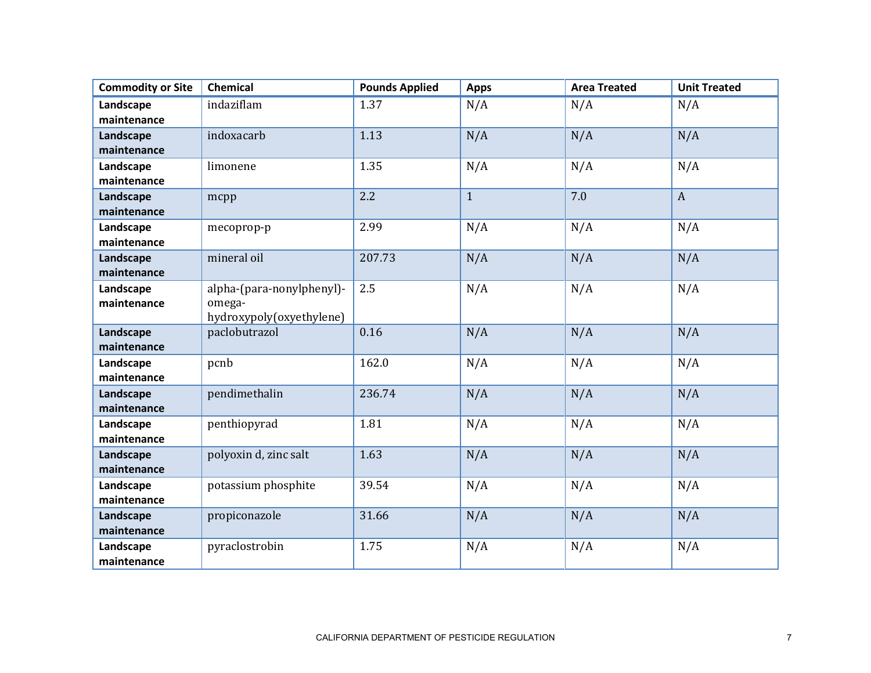| <b>Commodity or Site</b> | <b>Chemical</b>           | <b>Pounds Applied</b> | <b>Apps</b>  | <b>Area Treated</b> | <b>Unit Treated</b> |
|--------------------------|---------------------------|-----------------------|--------------|---------------------|---------------------|
| Landscape                | indaziflam                | 1.37                  | N/A          | N/A                 | N/A                 |
| maintenance              |                           |                       |              |                     |                     |
| Landscape                | indoxacarb                | 1.13                  | N/A          | N/A                 | N/A                 |
| maintenance              |                           |                       |              |                     |                     |
| Landscape                | limonene                  | 1.35                  | N/A          | N/A                 | N/A                 |
| maintenance              |                           |                       |              |                     |                     |
| Landscape                | mcpp                      | 2.2                   | $\mathbf{1}$ | 7.0                 | $\boldsymbol{A}$    |
| maintenance              |                           |                       |              |                     |                     |
| Landscape                | mecoprop-p                | 2.99                  | N/A          | N/A                 | N/A                 |
| maintenance              |                           |                       |              |                     |                     |
| Landscape                | mineral oil               | 207.73                | N/A          | N/A                 | N/A                 |
| maintenance              |                           |                       |              |                     |                     |
| Landscape                | alpha-(para-nonylphenyl)- | 2.5                   | N/A          | N/A                 | N/A                 |
| maintenance              | omega-                    |                       |              |                     |                     |
|                          | hydroxypoly(oxyethylene)  |                       |              |                     |                     |
| Landscape                | paclobutrazol             | 0.16                  | N/A          | N/A                 | N/A                 |
| maintenance              |                           |                       |              |                     |                     |
| Landscape                | pcnb                      | 162.0                 | N/A          | N/A                 | N/A                 |
| maintenance              |                           |                       |              |                     |                     |
| Landscape                | pendimethalin             | 236.74                | N/A          | N/A                 | N/A                 |
| maintenance              |                           |                       |              |                     |                     |
| Landscape                | penthiopyrad              | 1.81                  | N/A          | N/A                 | N/A                 |
| maintenance              |                           |                       |              |                     |                     |
| Landscape                | polyoxin d, zinc salt     | 1.63                  | N/A          | N/A                 | N/A                 |
| maintenance              |                           |                       |              |                     |                     |
| Landscape                | potassium phosphite       | 39.54                 | N/A          | N/A                 | N/A                 |
| maintenance              |                           |                       |              |                     |                     |
| Landscape                | propiconazole             | 31.66                 | N/A          | N/A                 | N/A                 |
| maintenance              |                           |                       |              |                     |                     |
| Landscape                | pyraclostrobin            | 1.75                  | N/A          | N/A                 | N/A                 |
| maintenance              |                           |                       |              |                     |                     |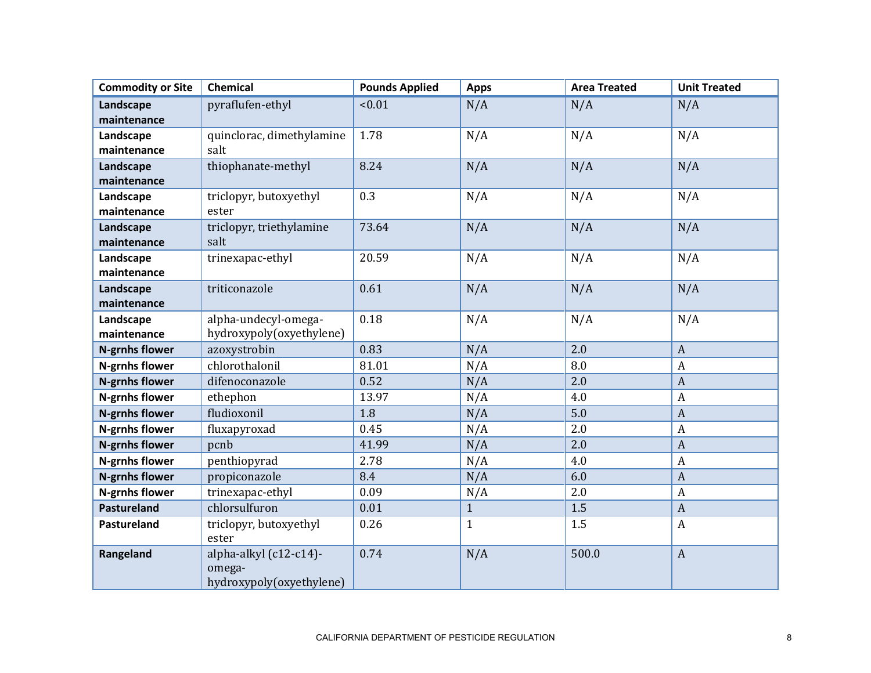| <b>Commodity or Site</b> | Chemical                                                     | <b>Pounds Applied</b> | <b>Apps</b>  | <b>Area Treated</b> | <b>Unit Treated</b> |
|--------------------------|--------------------------------------------------------------|-----------------------|--------------|---------------------|---------------------|
| Landscape                | pyraflufen-ethyl                                             | < 0.01                | N/A          | N/A                 | N/A                 |
| maintenance              |                                                              |                       |              |                     |                     |
| Landscape                | quinclorac, dimethylamine                                    | 1.78                  | N/A          | N/A                 | N/A                 |
| maintenance              | salt                                                         |                       |              |                     |                     |
| Landscape                | thiophanate-methyl                                           | 8.24                  | N/A          | N/A                 | N/A                 |
| maintenance              |                                                              |                       |              |                     |                     |
| Landscape                | triclopyr, butoxyethyl                                       | 0.3                   | N/A          | N/A                 | N/A                 |
| maintenance              | ester                                                        |                       |              |                     |                     |
| Landscape                | triclopyr, triethylamine                                     | 73.64                 | N/A          | N/A                 | N/A                 |
| maintenance              | salt                                                         |                       |              |                     |                     |
| Landscape                | trinexapac-ethyl                                             | 20.59                 | N/A          | N/A                 | N/A                 |
| maintenance              |                                                              |                       |              |                     |                     |
| Landscape                | triticonazole                                                | 0.61                  | N/A          | N/A                 | N/A                 |
| maintenance              |                                                              |                       |              |                     |                     |
| Landscape<br>maintenance | alpha-undecyl-omega-<br>hydroxypoly(oxyethylene)             | 0.18                  | N/A          | N/A                 | N/A                 |
| <b>N-grnhs flower</b>    | azoxystrobin                                                 | 0.83                  | N/A          | 2.0                 | $\boldsymbol{A}$    |
| <b>N-grnhs flower</b>    | chlorothalonil                                               | 81.01                 | N/A          | 8.0                 | $\boldsymbol{A}$    |
| <b>N-grnhs flower</b>    | difenoconazole                                               | 0.52                  | N/A          | 2.0                 | $\boldsymbol{A}$    |
| <b>N-grnhs flower</b>    | ethephon                                                     | 13.97                 | N/A          | 4.0                 | $\boldsymbol{A}$    |
| <b>N-grnhs flower</b>    | fludioxonil                                                  | 1.8                   | N/A          | 5.0                 | $\boldsymbol{A}$    |
| N-grnhs flower           | fluxapyroxad                                                 | 0.45                  | N/A          | 2.0                 | $\boldsymbol{A}$    |
| <b>N-grnhs flower</b>    | pcnb                                                         | 41.99                 | N/A          | 2.0                 | $\boldsymbol{A}$    |
| <b>N-grnhs flower</b>    | penthiopyrad                                                 | 2.78                  | N/A          | 4.0                 | $\boldsymbol{A}$    |
| <b>N-grnhs flower</b>    | propiconazole                                                | 8.4                   | N/A          | 6.0                 | $\boldsymbol{A}$    |
| N-grnhs flower           | trinexapac-ethyl                                             | 0.09                  | N/A          | 2.0                 | $\boldsymbol{A}$    |
| <b>Pastureland</b>       | chlorsulfuron                                                | 0.01                  | $\mathbf{1}$ | 1.5                 | $\boldsymbol{A}$    |
| Pastureland              | triclopyr, butoxyethyl<br>ester                              | 0.26                  | $\mathbf{1}$ | 1.5                 | $\boldsymbol{A}$    |
| Rangeland                | alpha-alkyl (c12-c14)-<br>omega-<br>hydroxypoly(oxyethylene) | 0.74                  | N/A          | 500.0               | $\boldsymbol{A}$    |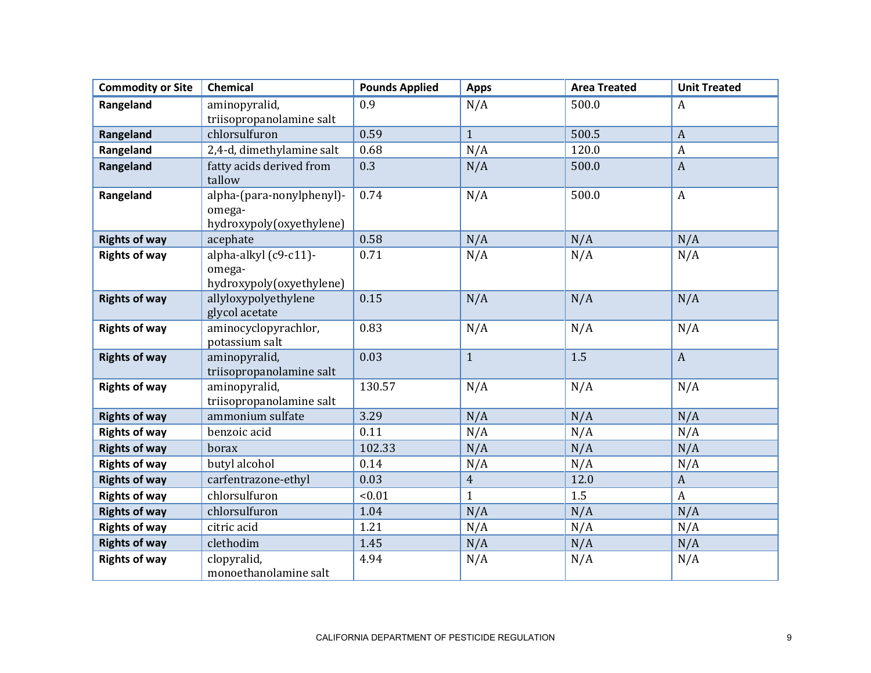| <b>Commodity or Site</b> | <b>Chemical</b>                                                 | <b>Pounds Applied</b> | <b>Apps</b>    | <b>Area Treated</b> | <b>Unit Treated</b> |
|--------------------------|-----------------------------------------------------------------|-----------------------|----------------|---------------------|---------------------|
| Rangeland                | aminopyralid,                                                   | 0.9                   | N/A            | 500.0               | A                   |
|                          | triisopropanolamine salt                                        |                       |                |                     |                     |
| Rangeland                | chlorsulfuron                                                   | 0.59                  | $\mathbf{1}$   | 500.5               | $\boldsymbol{A}$    |
| Rangeland                | 2,4-d, dimethylamine salt                                       | 0.68                  | N/A            | 120.0               | $\boldsymbol{A}$    |
| Rangeland                | fatty acids derived from<br>tallow                              | 0.3                   | N/A            | 500.0               | $\boldsymbol{A}$    |
| Rangeland                | alpha-(para-nonylphenyl)-<br>omega-<br>hydroxypoly(oxyethylene) | 0.74                  | N/A            | 500.0               | $\boldsymbol{A}$    |
| <b>Rights of way</b>     | acephate                                                        | 0.58                  | N/A            | N/A                 | N/A                 |
| <b>Rights of way</b>     | alpha-alkyl (c9-c11)-<br>omega-<br>hydroxypoly(oxyethylene)     | 0.71                  | N/A            | N/A                 | N/A                 |
| <b>Rights of way</b>     | allyloxypolyethylene<br>glycol acetate                          | 0.15                  | N/A            | N/A                 | N/A                 |
| <b>Rights of way</b>     | aminocyclopyrachlor,<br>potassium salt                          | 0.83                  | N/A            | N/A                 | N/A                 |
| <b>Rights of way</b>     | aminopyralid,<br>triisopropanolamine salt                       | 0.03                  | $\mathbf{1}$   | 1.5                 | $\boldsymbol{A}$    |
| <b>Rights of way</b>     | aminopyralid,<br>triisopropanolamine salt                       | 130.57                | N/A            | N/A                 | N/A                 |
| <b>Rights of way</b>     | ammonium sulfate                                                | 3.29                  | N/A            | N/A                 | N/A                 |
| <b>Rights of way</b>     | benzoic acid                                                    | 0.11                  | N/A            | N/A                 | N/A                 |
| <b>Rights of way</b>     | borax                                                           | 102.33                | N/A            | N/A                 | N/A                 |
| <b>Rights of way</b>     | butyl alcohol                                                   | 0.14                  | N/A            | N/A                 | N/A                 |
| <b>Rights of way</b>     | carfentrazone-ethyl                                             | 0.03                  | $\overline{4}$ | 12.0                | $\boldsymbol{A}$    |
| <b>Rights of way</b>     | chlorsulfuron                                                   | < 0.01                | $\mathbf{1}$   | 1.5                 | $\boldsymbol{A}$    |
| <b>Rights of way</b>     | chlorsulfuron                                                   | 1.04                  | N/A            | N/A                 | N/A                 |
| <b>Rights of way</b>     | citric acid                                                     | 1.21                  | N/A            | N/A                 | N/A                 |
| <b>Rights of way</b>     | clethodim                                                       | 1.45                  | N/A            | N/A                 | N/A                 |
| <b>Rights of way</b>     | clopyralid,<br>monoethanolamine salt                            | 4.94                  | N/A            | N/A                 | N/A                 |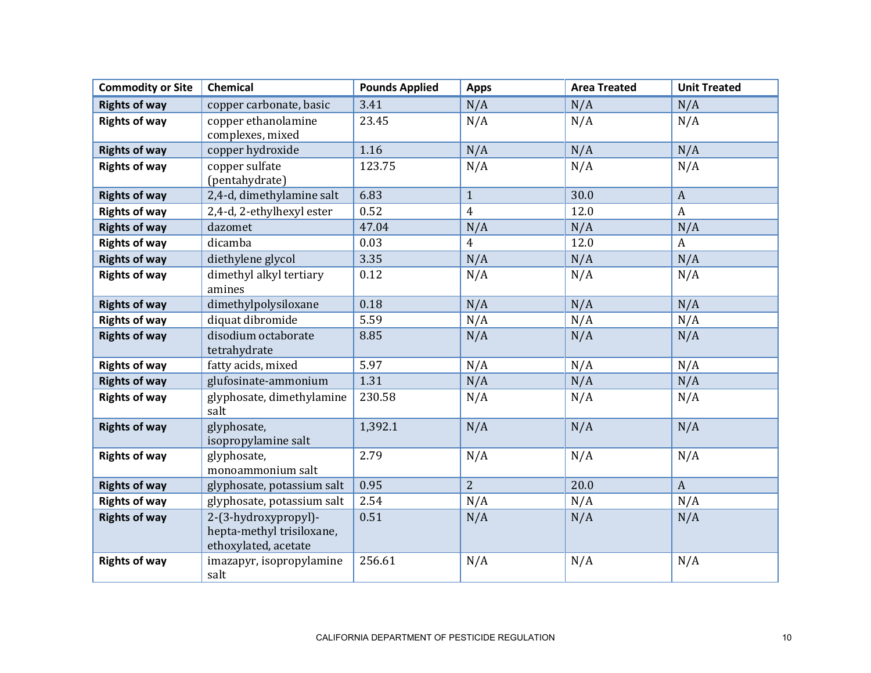| <b>Commodity or Site</b> | Chemical                                                                  | <b>Pounds Applied</b> | <b>Apps</b>    | <b>Area Treated</b> | <b>Unit Treated</b> |
|--------------------------|---------------------------------------------------------------------------|-----------------------|----------------|---------------------|---------------------|
| <b>Rights of way</b>     | copper carbonate, basic                                                   | 3.41                  | N/A            | N/A                 | N/A                 |
| <b>Rights of way</b>     | copper ethanolamine<br>complexes, mixed                                   | 23.45                 | N/A            | N/A                 | N/A                 |
| <b>Rights of way</b>     | copper hydroxide                                                          | 1.16                  | N/A            | N/A                 | N/A                 |
| <b>Rights of way</b>     | copper sulfate<br>(pentahydrate)                                          | 123.75                | N/A            | N/A                 | N/A                 |
| <b>Rights of way</b>     | 2,4-d, dimethylamine salt                                                 | 6.83                  | $\mathbf{1}$   | 30.0                | $\boldsymbol{A}$    |
| <b>Rights of way</b>     | 2,4-d, 2-ethylhexyl ester                                                 | 0.52                  | $\overline{4}$ | 12.0                | $\boldsymbol{A}$    |
| <b>Rights of way</b>     | dazomet                                                                   | 47.04                 | N/A            | N/A                 | N/A                 |
| <b>Rights of way</b>     | dicamba                                                                   | 0.03                  | $\overline{4}$ | 12.0                | A                   |
| <b>Rights of way</b>     | diethylene glycol                                                         | 3.35                  | N/A            | N/A                 | N/A                 |
| <b>Rights of way</b>     | dimethyl alkyl tertiary<br>amines                                         | 0.12                  | N/A            | N/A                 | N/A                 |
| <b>Rights of way</b>     | dimethylpolysiloxane                                                      | 0.18                  | N/A            | N/A                 | N/A                 |
| <b>Rights of way</b>     | diquat dibromide                                                          | 5.59                  | N/A            | N/A                 | N/A                 |
| <b>Rights of way</b>     | disodium octaborate<br>tetrahydrate                                       | 8.85                  | N/A            | N/A                 | N/A                 |
| <b>Rights of way</b>     | fatty acids, mixed                                                        | 5.97                  | N/A            | N/A                 | N/A                 |
| <b>Rights of way</b>     | glufosinate-ammonium                                                      | 1.31                  | N/A            | N/A                 | N/A                 |
| <b>Rights of way</b>     | glyphosate, dimethylamine<br>salt                                         | 230.58                | N/A            | N/A                 | N/A                 |
| <b>Rights of way</b>     | glyphosate,<br>isopropylamine salt                                        | 1,392.1               | N/A            | N/A                 | N/A                 |
| <b>Rights of way</b>     | glyphosate,<br>monoammonium salt                                          | 2.79                  | N/A            | N/A                 | N/A                 |
| <b>Rights of way</b>     | glyphosate, potassium salt                                                | 0.95                  | $\overline{2}$ | 20.0                | $\mathbf{A}$        |
| <b>Rights of way</b>     | glyphosate, potassium salt                                                | 2.54                  | N/A            | N/A                 | N/A                 |
| <b>Rights of way</b>     | 2-(3-hydroxypropyl)-<br>hepta-methyl trisiloxane,<br>ethoxylated, acetate | 0.51                  | N/A            | N/A                 | N/A                 |
| <b>Rights of way</b>     | imazapyr, isopropylamine<br>salt                                          | 256.61                | N/A            | N/A                 | N/A                 |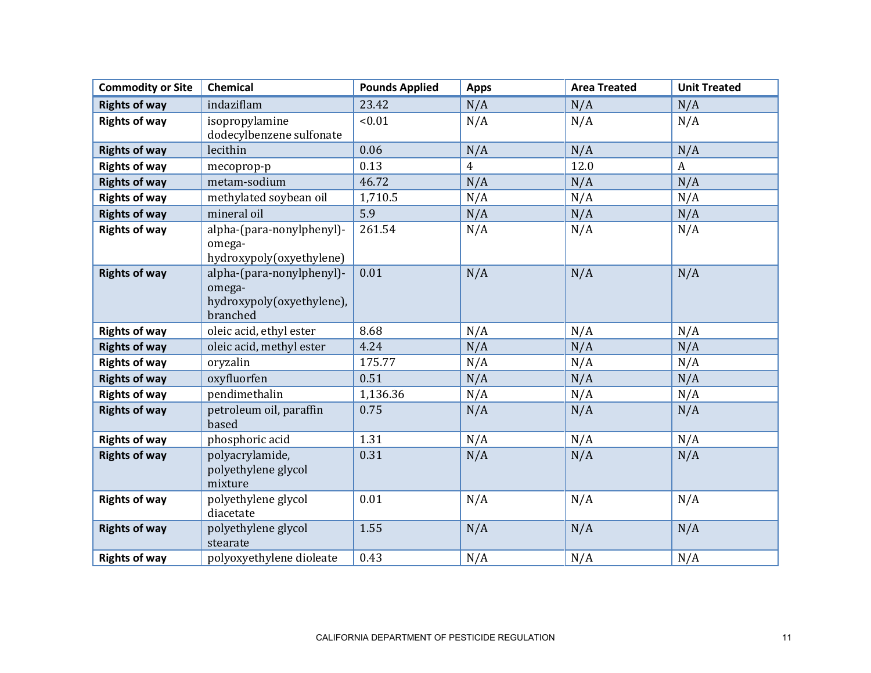| <b>Commodity or Site</b> | <b>Chemical</b>                                                              | <b>Pounds Applied</b> | <b>Apps</b> | <b>Area Treated</b> | <b>Unit Treated</b> |
|--------------------------|------------------------------------------------------------------------------|-----------------------|-------------|---------------------|---------------------|
| <b>Rights of way</b>     | indaziflam                                                                   | 23.42                 | N/A         | N/A                 | N/A                 |
| <b>Rights of way</b>     | isopropylamine<br>dodecylbenzene sulfonate                                   | < 0.01                | N/A         | N/A                 | N/A                 |
| <b>Rights of way</b>     | lecithin                                                                     | 0.06                  | N/A         | N/A                 | N/A                 |
| <b>Rights of way</b>     | mecoprop-p                                                                   | 0.13                  | 4           | 12.0                | $\boldsymbol{A}$    |
| <b>Rights of way</b>     | metam-sodium                                                                 | 46.72                 | N/A         | N/A                 | N/A                 |
| <b>Rights of way</b>     | methylated soybean oil                                                       | 1,710.5               | N/A         | N/A                 | N/A                 |
| <b>Rights of way</b>     | mineral oil                                                                  | 5.9                   | N/A         | N/A                 | N/A                 |
| <b>Rights of way</b>     | alpha-(para-nonylphenyl)-<br>omega-<br>hydroxypoly(oxyethylene)              | 261.54                | N/A         | N/A                 | N/A                 |
| <b>Rights of way</b>     | alpha-(para-nonylphenyl)-<br>omega-<br>hydroxypoly(oxyethylene),<br>branched | 0.01                  | N/A         | N/A                 | N/A                 |
| <b>Rights of way</b>     | oleic acid, ethyl ester                                                      | 8.68                  | N/A         | N/A                 | N/A                 |
| <b>Rights of way</b>     | oleic acid, methyl ester                                                     | 4.24                  | N/A         | N/A                 | N/A                 |
| <b>Rights of way</b>     | oryzalin                                                                     | 175.77                | N/A         | N/A                 | N/A                 |
| <b>Rights of way</b>     | oxyfluorfen                                                                  | 0.51                  | N/A         | N/A                 | N/A                 |
| <b>Rights of way</b>     | pendimethalin                                                                | 1,136.36              | N/A         | N/A                 | N/A                 |
| <b>Rights of way</b>     | petroleum oil, paraffin<br>based                                             | 0.75                  | N/A         | N/A                 | N/A                 |
| <b>Rights of way</b>     | phosphoric acid                                                              | 1.31                  | N/A         | N/A                 | N/A                 |
| <b>Rights of way</b>     | polyacrylamide,<br>polyethylene glycol<br>mixture                            | 0.31                  | N/A         | N/A                 | N/A                 |
| <b>Rights of way</b>     | polyethylene glycol<br>diacetate                                             | 0.01                  | N/A         | N/A                 | N/A                 |
| <b>Rights of way</b>     | polyethylene glycol<br>stearate                                              | 1.55                  | N/A         | N/A                 | N/A                 |
| <b>Rights of way</b>     | polyoxyethylene dioleate                                                     | 0.43                  | N/A         | N/A                 | N/A                 |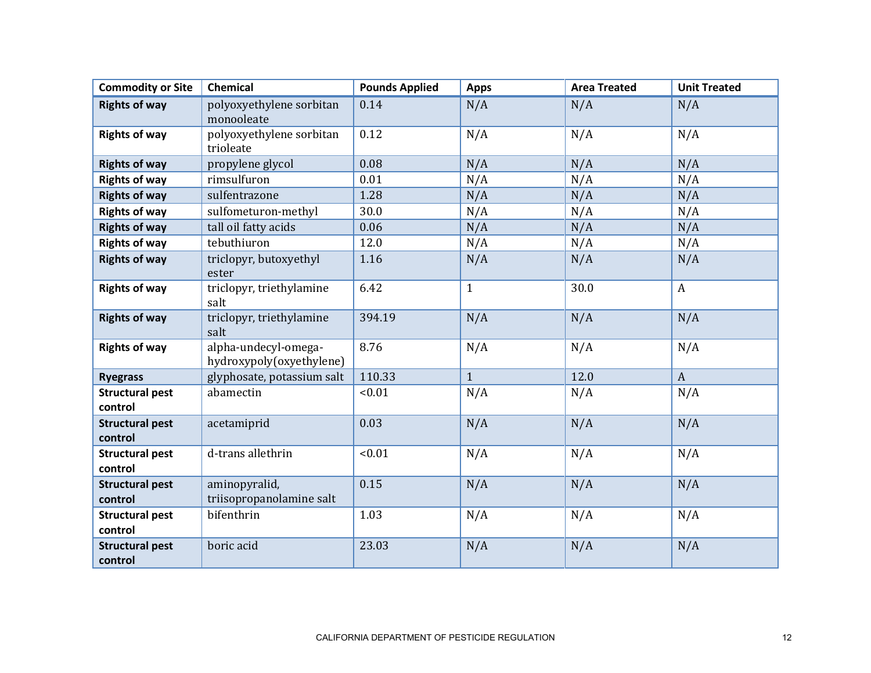| <b>Commodity or Site</b>          | <b>Chemical</b>                                  | <b>Pounds Applied</b> | <b>Apps</b>  | <b>Area Treated</b> | <b>Unit Treated</b> |
|-----------------------------------|--------------------------------------------------|-----------------------|--------------|---------------------|---------------------|
| <b>Rights of way</b>              | polyoxyethylene sorbitan<br>monooleate           | 0.14                  | N/A          | N/A                 | N/A                 |
| <b>Rights of way</b>              | polyoxyethylene sorbitan<br>trioleate            | 0.12                  | N/A          | N/A                 | N/A                 |
| <b>Rights of way</b>              | propylene glycol                                 | 0.08                  | N/A          | N/A                 | N/A                 |
| <b>Rights of way</b>              | rimsulfuron                                      | 0.01                  | N/A          | N/A                 | N/A                 |
| <b>Rights of way</b>              | sulfentrazone                                    | 1.28                  | N/A          | N/A                 | N/A                 |
| <b>Rights of way</b>              | sulfometuron-methyl                              | 30.0                  | N/A          | N/A                 | N/A                 |
| <b>Rights of way</b>              | tall oil fatty acids                             | 0.06                  | N/A          | N/A                 | N/A                 |
| <b>Rights of way</b>              | tebuthiuron                                      | 12.0                  | N/A          | N/A                 | N/A                 |
| <b>Rights of way</b>              | triclopyr, butoxyethyl<br>ester                  | 1.16                  | N/A          | N/A                 | N/A                 |
| <b>Rights of way</b>              | triclopyr, triethylamine<br>salt                 | 6.42                  | $\mathbf{1}$ | 30.0                | $\boldsymbol{A}$    |
| <b>Rights of way</b>              | triclopyr, triethylamine<br>salt                 | 394.19                | N/A          | N/A                 | N/A                 |
| <b>Rights of way</b>              | alpha-undecyl-omega-<br>hydroxypoly(oxyethylene) | 8.76                  | N/A          | N/A                 | N/A                 |
| <b>Ryegrass</b>                   | glyphosate, potassium salt                       | 110.33                | $\mathbf{1}$ | 12.0                | $\mathbf{A}$        |
| <b>Structural pest</b><br>control | abamectin                                        | < 0.01                | N/A          | N/A                 | N/A                 |
| <b>Structural pest</b><br>control | acetamiprid                                      | 0.03                  | N/A          | N/A                 | N/A                 |
| <b>Structural pest</b><br>control | d-trans allethrin                                | < 0.01                | N/A          | N/A                 | N/A                 |
| <b>Structural pest</b><br>control | aminopyralid,<br>triisopropanolamine salt        | 0.15                  | N/A          | N/A                 | N/A                 |
| <b>Structural pest</b><br>control | bifenthrin                                       | 1.03                  | N/A          | N/A                 | N/A                 |
| <b>Structural pest</b><br>control | boric acid                                       | 23.03                 | N/A          | N/A                 | N/A                 |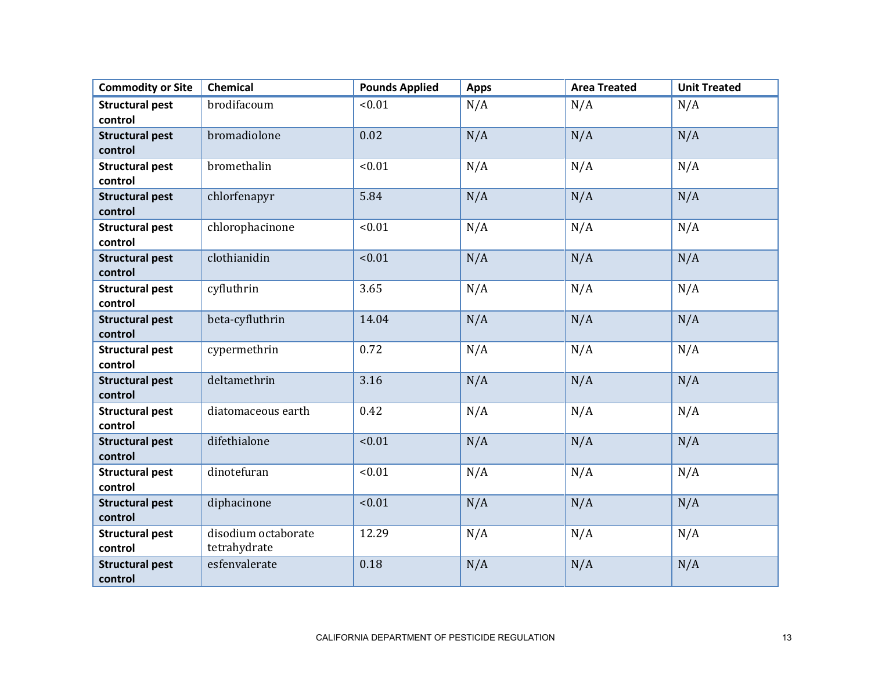| <b>Commodity or Site</b>          | <b>Chemical</b>     | <b>Pounds Applied</b> | <b>Apps</b> | <b>Area Treated</b> | <b>Unit Treated</b> |
|-----------------------------------|---------------------|-----------------------|-------------|---------------------|---------------------|
| <b>Structural pest</b>            | brodifacoum         | < 0.01                | N/A         | N/A                 | N/A                 |
| control                           |                     |                       |             |                     |                     |
| <b>Structural pest</b>            | bromadiolone        | 0.02                  | N/A         | N/A                 | N/A                 |
| control                           |                     |                       |             |                     |                     |
| <b>Structural pest</b><br>control | bromethalin         | < 0.01                | N/A         | N/A                 | N/A                 |
|                                   |                     | 5.84                  |             |                     |                     |
| <b>Structural pest</b><br>control | chlorfenapyr        |                       | N/A         | N/A                 | N/A                 |
| <b>Structural pest</b>            | chlorophacinone     | < 0.01                | N/A         | N/A                 | N/A                 |
| control                           |                     |                       |             |                     |                     |
| <b>Structural pest</b><br>control | clothianidin        | < 0.01                | N/A         | N/A                 | N/A                 |
| <b>Structural pest</b>            | cyfluthrin          | 3.65                  | N/A         | N/A                 | N/A                 |
| control                           |                     |                       |             |                     |                     |
| <b>Structural pest</b>            | beta-cyfluthrin     | 14.04                 | N/A         | N/A                 | N/A                 |
| control                           |                     |                       |             |                     |                     |
| <b>Structural pest</b>            | cypermethrin        | 0.72                  | N/A         | N/A                 | N/A                 |
| control                           |                     |                       |             |                     |                     |
| <b>Structural pest</b><br>control | deltamethrin        | 3.16                  | N/A         | N/A                 | N/A                 |
| <b>Structural pest</b>            | diatomaceous earth  | 0.42                  | N/A         | N/A                 | N/A                 |
| control                           |                     |                       |             |                     |                     |
| <b>Structural pest</b>            | difethialone        | < 0.01                | N/A         | N/A                 | N/A                 |
| control                           |                     |                       |             |                     |                     |
| <b>Structural pest</b>            | dinotefuran         | < 0.01                | N/A         | N/A                 | N/A                 |
| control                           |                     |                       |             |                     |                     |
| <b>Structural pest</b>            | diphacinone         | < 0.01                | N/A         | N/A                 | N/A                 |
| control                           |                     |                       |             |                     |                     |
| <b>Structural pest</b>            | disodium octaborate | 12.29                 | N/A         | N/A                 | N/A                 |
| control                           | tetrahydrate        |                       |             |                     |                     |
| <b>Structural pest</b>            | esfenvalerate       | 0.18                  | N/A         | N/A                 | N/A                 |
| control                           |                     |                       |             |                     |                     |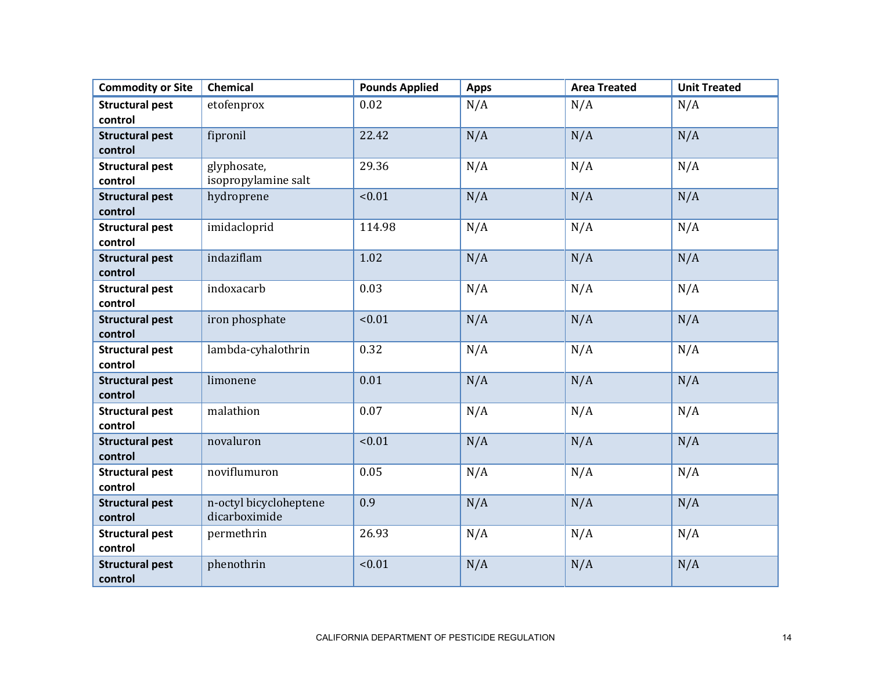| <b>Commodity or Site</b>          | Chemical                                | <b>Pounds Applied</b> | <b>Apps</b> | <b>Area Treated</b> | <b>Unit Treated</b> |
|-----------------------------------|-----------------------------------------|-----------------------|-------------|---------------------|---------------------|
| <b>Structural pest</b>            | etofenprox                              | 0.02                  | N/A         | N/A                 | N/A                 |
| control                           |                                         |                       |             |                     |                     |
| <b>Structural pest</b>            | fipronil                                | 22.42                 | N/A         | N/A                 | N/A                 |
| control                           |                                         |                       |             |                     |                     |
| <b>Structural pest</b><br>control | glyphosate,<br>isopropylamine salt      | 29.36                 | N/A         | N/A                 | N/A                 |
| <b>Structural pest</b><br>control | hydroprene                              | < 0.01                | N/A         | N/A                 | N/A                 |
| <b>Structural pest</b><br>control | imidacloprid                            | 114.98                | N/A         | N/A                 | N/A                 |
| <b>Structural pest</b><br>control | indaziflam                              | 1.02                  | N/A         | N/A                 | N/A                 |
| <b>Structural pest</b><br>control | indoxacarb                              | 0.03                  | N/A         | N/A                 | N/A                 |
| <b>Structural pest</b><br>control | iron phosphate                          | < 0.01                | N/A         | N/A                 | N/A                 |
| <b>Structural pest</b><br>control | lambda-cyhalothrin                      | 0.32                  | N/A         | N/A                 | N/A                 |
| <b>Structural pest</b><br>control | limonene                                | 0.01                  | N/A         | N/A                 | N/A                 |
| <b>Structural pest</b><br>control | malathion                               | 0.07                  | N/A         | N/A                 | N/A                 |
| <b>Structural pest</b><br>control | novaluron                               | < 0.01                | N/A         | N/A                 | N/A                 |
| <b>Structural pest</b><br>control | noviflumuron                            | 0.05                  | N/A         | N/A                 | N/A                 |
| <b>Structural pest</b><br>control | n-octyl bicycloheptene<br>dicarboximide | 0.9                   | N/A         | N/A                 | N/A                 |
| <b>Structural pest</b><br>control | permethrin                              | 26.93                 | N/A         | N/A                 | N/A                 |
| <b>Structural pest</b><br>control | phenothrin                              | < 0.01                | N/A         | N/A                 | N/A                 |